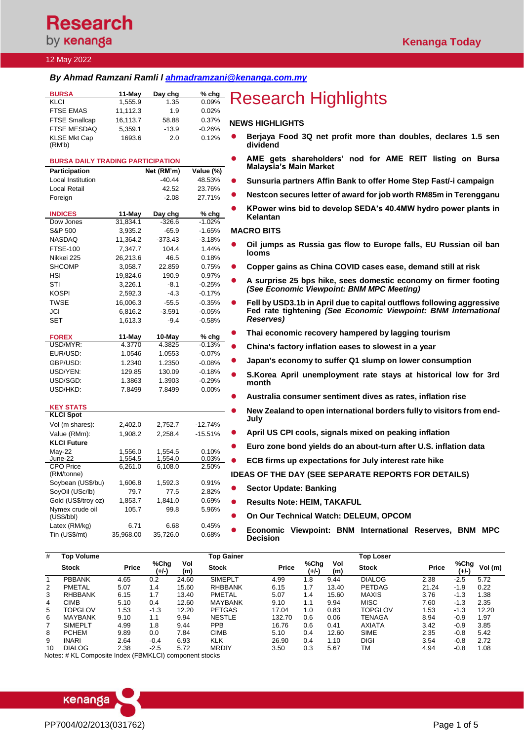**Research** by **kenanga** 

#### 12 May 2022

## *By Ahmad Ramzani Ramli l [ahmadramzani@kenanga.com.my](mailto:ahmadramzani@kenanga.com.my)*

| <b>BURSA</b>         | $11-May$ | Day chg | $%$ chg  |           |
|----------------------|----------|---------|----------|-----------|
| <b>KLCI</b>          | 1.555.9  | 1.35    | 0.09%    |           |
| <b>FTSE EMAS</b>     | 11.112.3 | 1.9     | 0.02%    |           |
| <b>FTSE Smallcap</b> | 16,113.7 | 58.88   | 0.37%    | <b>NE</b> |
| <b>FTSE MESDAQ</b>   | 5.359.1  | $-13.9$ | $-0.26%$ |           |
| <b>KLSE Mkt Cap</b>  | 1693.6   | 2.0     | 0.12%    | $\bullet$ |
| (RM'b)               |          |         |          |           |

## **BURSA DAILY TRADING PARTICIPATION Participation Net (RM'm) Value (%)**

| raruupauon                   |           | ויוו ואורו נווי | value ( /o/ |
|------------------------------|-----------|-----------------|-------------|
| Local Institution            |           | $-40.44$        | 48.53%      |
| Local Retail                 |           | 42.52           | 23.76%      |
| Foreign                      |           | $-2.08$         | 27.71%      |
|                              |           |                 |             |
| <b>INDICES</b>               | 11-May    | Day chg         | % chg       |
| Dow Jones                    | 31,834.1  | $-326.6$        | $-1.02%$    |
| S&P 500                      | 3,935.2   | -65.9           | -1.65%      |
| <b>NASDAQ</b>                | 11,364.2  | -373.43         | $-3.18%$    |
| <b>FTSE-100</b>              | 7,347.7   | 104.4           | 1.44%       |
| Nikkei 225                   | 26,213.6  | 46.5            | 0.18%       |
| SHCOMP                       | 3,058.7   | 22.859          | 0.75%       |
| HSI                          | 19,824.6  | 190.9           | 0.97%       |
| STI                          | 3,226.1   | $-8.1$          | $-0.25%$    |
| <b>KOSPI</b>                 | 2,592.3   | $-4.3$          | $-0.17%$    |
| <b>TWSE</b>                  | 16,006.3  | $-55.5$         | $-0.35%$    |
| JCI                          | 6,816.2   | $-3.591$        | $-0.05%$    |
| <b>SET</b>                   | 1,613.3   | $-9.4$          | $-0.58%$    |
|                              |           |                 |             |
| <b>FOREX</b>                 | 11-May    | 10-May          | % chg       |
| USD/MYR:                     | 4.3770    | 4.3825          | $-0.13%$    |
| EUR/USD:                     | 1.0546    | 1.0553          | $-0.07%$    |
| GBP/USD:                     | 1.2340    | 1.2350          | $-0.08%$    |
| USD/YEN:                     | 129.85    | 130.09          | $-0.18%$    |
| USD/SGD:                     | 1.3863    | 1.3903          | $-0.29%$    |
| USD/HKD:                     | 7.8499    | 7.8499          | $0.00\%$    |
|                              |           |                 |             |
| <b>KEY STATS</b>             |           |                 |             |
| <b>KLCI Spot</b>             |           |                 |             |
| Vol (m shares):              | 2,402.0   | 2,752.7         | $-12.74%$   |
| Value (RMm):                 | 1,908.2   | 2,258.4         | -15.51%     |
| <b>KLCI Future</b>           |           |                 |             |
| May-22                       | 1,556.0   | 1,554.5         | 0.10%       |
| June-22                      | 1,554.5   | 1,554.0         | 0.03%       |
| <b>CPO Price</b>             | 6,261.0   | 6,108.0         | 2.50%       |
| (RM/tonne)                   |           |                 |             |
| Soybean (US\$/bu)            | 1,606.8   | 1,592.3         | 0.91%       |
| SoyOil (USc/lb)              | 79.7      | 77.5            | 2.82%       |
| Gold (US\$/troy oz)          | 1,853.7   | 1,841.0         | 0.69%       |
| Nymex crude oil<br>(USS/bbl) | 105.7     | 99.8            | 5.96%       |
| Latex (RM/kg)                | 6.71      | 6.68            | 0.45%       |
| Tin (US\$/mt)                | 35,968.00 | 35,726.0        | 0.68%       |
|                              |           |                 |             |

# **Research Highlights**

### **WS HIGHLIGHTS**

- ⚫ **Berjaya Food 3Q net profit more than doubles, declares 1.5 sen dividend**
	- ⚫ **AME gets shareholders' nod for AME REIT listing on Bursa Malaysia's Main Market**
	- ⚫ **Sunsuria partners Affin Bank to offer Home Step Fast/-i campaign**
- ⚫ **Nestcon secures letter of award for job worth RM85m in Terengganu**
- ⚫ **KPower wins bid to develop SEDA's 40.4MW hydro power plants in Kelantan**

#### **MACRO BITS**

- ⚫ **[Oil jumps as Russia gas flow to Europe falls, EU Russian oil ban](https://www.reuters.com/business/energy/oil-falls-uncertainty-over-russian-energy-embargo-by-eu-2022-05-11/)  [looms](https://www.reuters.com/business/energy/oil-falls-uncertainty-over-russian-energy-embargo-by-eu-2022-05-11/)**
- ⚫ **[Copper gains as China COVID cases ease, demand still at risk](https://www.reuters.com/article/global-metals/copper-gains-as-china-covid-cases-ease-demand-still-at-risk-idUSKCN2MX10F)**
- ⚫ **A surprise 25 bps hike, sees domestic economy on firmer footing**  *(See Economic Viewpoint: BNM MPC Meeting)*
- ⚫ **Fell by USD3.1b in April due to capital outflows following aggressive Fed rate tightening** *(See Economic Viewpoint: BNM International Reserves)*
- ⚫ **[Thai economic recovery hampered by lagging tourism](https://www.businesstimes.com.sg/government-economy/thai-economic-recovery-hampered-by-lagging-tourism-finance-minister)**
- ⚫ **[China's factory inflation eases to slowest in a year](https://www.theedgemarkets.com/article/chinas-factory-inflation-eases-slowest-year)**
- ⚫ **[Japan's economy to suffer Q1 slump on lower consumption](https://www.reuters.com/world/asia-pacific/japans-economy-suffer-q1-slump-lower-consumption-2022-05-11/)**
- ⚫ **[S.Korea April unemployment rate stays at historical low for 3rd](https://www.reuters.com/article/southkorea-economy/s-korea-april-unemployment-rate-stays-at-historical-low-for-3rd-month-idUSKCN2MW2DD)  [month](https://www.reuters.com/article/southkorea-economy/s-korea-april-unemployment-rate-stays-at-historical-low-for-3rd-month-idUSKCN2MW2DD)**
- ⚫ **[Australia consumer sentiment dives as rates, inflation rise](https://www.reuters.com/world/asia-pacific/australia-consumer-sentiment-dives-rates-inflation-rise-2022-05-11/)**
	- ⚫ **[New Zealand to open international borders fully to visitors from end-](https://www.reuters.com/world/asia-pacific/new-zealand-open-international-borders-fully-visitors-end-july-2022-05-11/)[July](https://www.reuters.com/world/asia-pacific/new-zealand-open-international-borders-fully-visitors-end-july-2022-05-11/)**
- ⚫ **April [US CPI cools, signals mixed on peaking inflation](https://www.reuters.com/world/us/april-us-cpi-cools-signals-mixed-peaking-inflation-2022-05-11/)**
- ⚫ **[Euro zone bond yields do an about-turn after U.S. inflation data](https://www.reuters.com/article/eurozone-bonds/euro-zone-bond-yields-do-an-about-turn-after-u-s-inflation-data-idUSKCN2MX0QI)**
- ⚫ **[ECB firms up expectations for July interest rate hike](https://www.reuters.com/article/ecb-policy/ecb-firms-up-expectations-for-july-interest-rate-hike-idUSKCN2MX0KZ)**

**IDEAS OF THE DAY (SEE SEPARATE REPORTS FOR DETAILS)**

- ⚫ **Sector Update: Banking**
- ⚫ **Results Note: HEIM, TAKAFUL**
- ⚫ **On Our Technical Watch: DELEUM, OPCOM**
- ⚫ **Economic Viewpoint: BNM International Reserves, BNM MPC Decision**

| #  | <b>Top Volume</b> |              |               |            | <b>Top Gainer</b> |              |               |            | <b>Top Loser</b> |              |                 |         |
|----|-------------------|--------------|---------------|------------|-------------------|--------------|---------------|------------|------------------|--------------|-----------------|---------|
|    | <b>Stock</b>      | <b>Price</b> | %Chg<br>(+/-) | Vol<br>(m) | <b>Stock</b>      | <b>Price</b> | %Chg<br>(+/-) | Vol<br>(m) | <b>Stock</b>     | <b>Price</b> | %Chg<br>$(+/-)$ | Vol (m) |
|    | <b>PBBANK</b>     | 4.65         | 0.2           | 24.60      | <b>SIMEPLT</b>    | 4.99         | 1.8           | 9.44       | <b>DIALOG</b>    | 2.38         | $-2.5$          | 5.72    |
| 2  | <b>PMETAL</b>     | 5.07         | 1.4           | 15.60      | <b>RHBBANK</b>    | 6.15         | 1.7           | 13.40      | <b>PETDAG</b>    | 21.24        | $-1.9$          | 0.22    |
| 3  | <b>RHBBANK</b>    | 6.15         | 1.7           | 13.40      | PMETAL            | 5.07         | 1.4           | 15.60      | <b>MAXIS</b>     | 3.76         | $-1.3$          | 1.38    |
| 4  | <b>CIMB</b>       | 5.10         | 0.4           | 12.60      | <b>MAYBANK</b>    | 9.10         | 1.1           | 9.94       | <b>MISC</b>      | 7.60         | $-1.3$          | 2.35    |
| 5  | TOPGLOV           | 1.53         | $-1.3$        | 12.20      | <b>PETGAS</b>     | 17.04        | 1.0           | 0.83       | <b>TOPGLOV</b>   | 1.53         | $-1.3$          | 12.20   |
| 6  | <b>MAYBANK</b>    | 9.10         | 1.1           | 9.94       | <b>NESTLE</b>     | 132.70       | 0.6           | 0.06       | TENAGA           | 8.94         | $-0.9$          | 1.97    |
|    | <b>SIMEPLT</b>    | 4.99         | 1.8           | 9.44       | <b>PPB</b>        | 16.76        | 0.6           | 0.41       | <b>AXIATA</b>    | 3.42         | $-0.9$          | 3.85    |
| 8  | <b>PCHEM</b>      | 9.89         | 0.0           | 7.84       | <b>CIMB</b>       | 5.10         | 0.4           | 12.60      | <b>SIME</b>      | 2.35         | $-0.8$          | 5.42    |
| 9  | <b>INARI</b>      | 2.64         | $-0.4$        | 6.93       | <b>KLK</b>        | 26.90        | 0.4           | 1.10       | <b>DIGI</b>      | 3.54         | $-0.8$          | 2.72    |
| 10 | <b>DIALOG</b>     | 2.38         | $-2.5$        | 5.72       | <b>MRDIY</b>      | 3.50         | 0.3           | 5.67       | TM               | 4.94         | $-0.8$          | 0.08    |

Notes: # KL Composite Index (FBMKLCI) component stocks

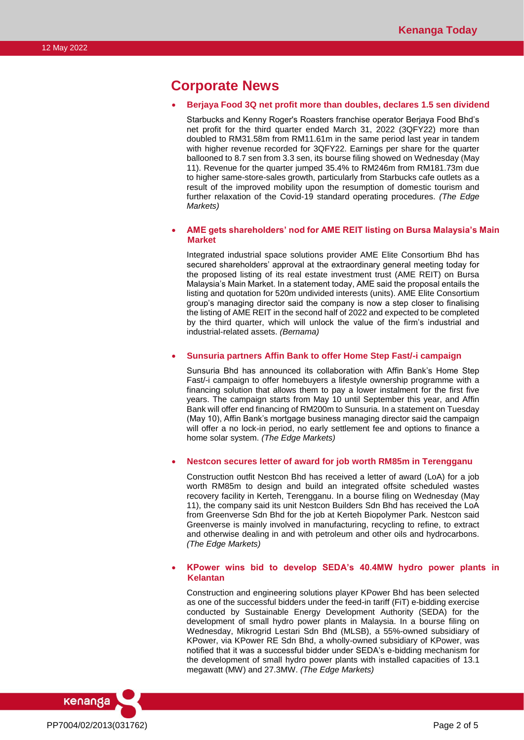## **Corporate News**

### • **Berjaya Food 3Q net profit more than doubles, declares 1.5 sen dividend**

Starbucks and Kenny Roger's Roasters franchise operator Berjaya Food Bhd's net profit for the third quarter ended March 31, 2022 (3QFY22) more than doubled to RM31.58m from RM11.61m in the same period last year in tandem with higher revenue recorded for 3QFY22. Earnings per share for the quarter ballooned to 8.7 sen from 3.3 sen, its bourse filing showed on Wednesday (May 11). Revenue for the quarter jumped 35.4% to RM246m from RM181.73m due to higher same-store-sales growth, particularly from Starbucks cafe outlets as a result of the improved mobility upon the resumption of domestic tourism and further relaxation of the Covid-19 standard operating procedures. *(The Edge Markets)*

## • **AME gets shareholders' nod for AME REIT listing on Bursa Malaysia's Main Market**

Integrated industrial space solutions provider AME Elite Consortium Bhd has secured shareholders' approval at the extraordinary general meeting today for the proposed listing of its real estate investment trust (AME REIT) on Bursa Malaysia's Main Market. In a statement today, AME said the proposal entails the listing and quotation for 520m undivided interests (units). AME Elite Consortium group's managing director said the company is now a step closer to finalising the listing of AME REIT in the second half of 2022 and expected to be completed by the third quarter, which will unlock the value of the firm's industrial and industrial-related assets. *(Bernama)*

## • **Sunsuria partners Affin Bank to offer Home Step Fast/-i campaign**

Sunsuria Bhd has announced its collaboration with Affin Bank's Home Step Fast/-i campaign to offer homebuyers a lifestyle ownership programme with a financing solution that allows them to pay a lower instalment for the first five years. The campaign starts from May 10 until September this year, and Affin Bank will offer end financing of RM200m to Sunsuria. In a statement on Tuesday (May 10), Affin Bank's mortgage business managing director said the campaign will offer a no lock-in period, no early settlement fee and options to finance a home solar system. *(The Edge Markets)*

## • **Nestcon secures letter of award for job worth RM85m in Terengganu**

Construction outfit Nestcon Bhd has received a letter of award (LoA) for a job worth RM85m to design and build an integrated offsite scheduled wastes recovery facility in Kerteh, Terengganu. In a bourse filing on Wednesday (May 11), the company said its unit Nestcon Builders Sdn Bhd has received the LoA from Greenverse Sdn Bhd for the job at Kerteh Biopolymer Park. Nestcon said Greenverse is mainly involved in manufacturing, recycling to refine, to extract and otherwise dealing in and with petroleum and other oils and hydrocarbons. *(The Edge Markets)*

## • **KPower wins bid to develop SEDA's 40.4MW hydro power plants in Kelantan**

Construction and engineering solutions player KPower Bhd has been selected as one of the successful bidders under the feed-in tariff (FiT) e-bidding exercise conducted by Sustainable Energy Development Authority (SEDA) for the development of small hydro power plants in Malaysia. In a bourse filing on Wednesday, Mikrogrid Lestari Sdn Bhd (MLSB), a 55%-owned subsidiary of KPower, via KPower RE Sdn Bhd, a wholly-owned subsidiary of KPower, was notified that it was a successful bidder under SEDA's e-bidding mechanism for the development of small hydro power plants with installed capacities of 13.1 megawatt (MW) and 27.3MW. *(The Edge Markets)*

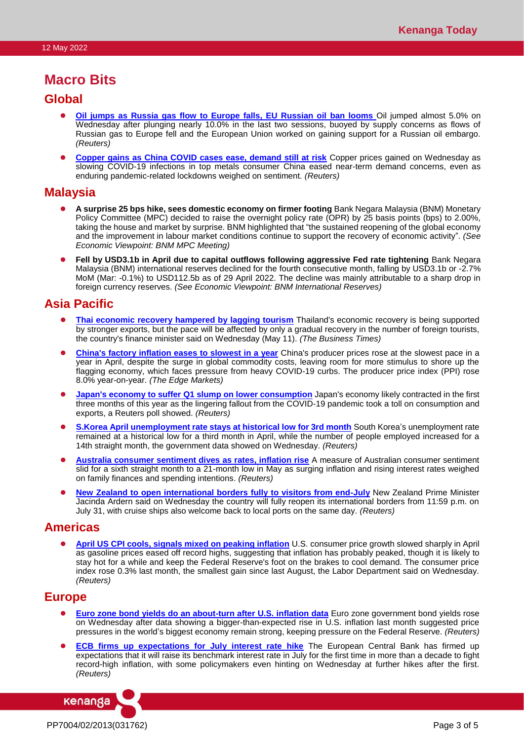## **Macro Bits**

## **Global**

- ⚫ **[Oil jumps as Russia gas flow to Europe falls, EU Russian oil ban looms](https://www.reuters.com/business/energy/oil-falls-uncertainty-over-russian-energy-embargo-by-eu-2022-05-11/)** Oil jumped almost 5.0% on Wednesday after plunging nearly 10.0% in the last two sessions, buoyed by supply concerns as flows of Russian gas to Europe fell and the European Union worked on gaining support for a Russian oil embargo. *(Reuters)*
- ⚫ **[Copper gains as China COVID cases ease, demand still at risk](https://www.reuters.com/article/global-metals/copper-gains-as-china-covid-cases-ease-demand-still-at-risk-idUSKCN2MX10F)** Copper prices gained on Wednesday as slowing COVID-19 infections in top metals consumer China eased near-term demand concerns, even as enduring pandemic-related lockdowns weighed on sentiment. *(Reuters)*

## **Malaysia**

- ⚫ **A surprise 25 bps hike, sees domestic economy on firmer footing** Bank Negara Malaysia (BNM) Monetary Policy Committee (MPC) decided to raise the overnight policy rate (OPR) by 25 basis points (bps) to 2.00%, taking the house and market by surprise. BNM highlighted that "the sustained reopening of the global economy and the improvement in labour market conditions continue to support the recovery of economic activity". *(See Economic Viewpoint: BNM MPC Meeting)*
- ⚫ **Fell by USD3.1b in April due to capital outflows following aggressive Fed rate tightening** Bank Negara Malaysia (BNM) international reserves declined for the fourth consecutive month, falling by USD3.1b or -2.7% MoM (Mar: -0.1%) to USD112.5b as of 29 April 2022. The decline was mainly attributable to a sharp drop in foreign currency reserves. *(See Economic Viewpoint: BNM International Reserves)*

## **Asia Pacific**

- **[Thai economic recovery hampered by lagging tourism](https://www.businesstimes.com.sg/government-economy/thai-economic-recovery-hampered-by-lagging-tourism-finance-minister)** Thailand's economic recovery is being supported by stronger exports, but the pace will be affected by only a gradual recovery in the number of foreign tourists, the country's finance minister said on Wednesday (May 11). *(The Business Times)*
- ⚫ **[China's factory inflation eases to slowest in a year](https://www.theedgemarkets.com/article/chinas-factory-inflation-eases-slowest-year)** China's producer prices rose at the slowest pace in a year in April, despite the surge in global commodity costs, leaving room for more stimulus to shore up the flagging economy, which faces pressure from heavy COVID-19 curbs. The producer price index (PPI) rose 8.0% year-on-year. *(The Edge Markets)*
- ⚫ **Japan's economy to suffer [Q1 slump on lower consumption](https://www.reuters.com/world/asia-pacific/japans-economy-suffer-q1-slump-lower-consumption-2022-05-11/)** Japan's economy likely contracted in the first three months of this year as the lingering fallout from the COVID-19 pandemic took a toll on consumption and exports, a Reuters poll showed. *(Reuters)*
- **[S.Korea April unemployment rate stays at historical low for 3rd month](https://www.reuters.com/article/southkorea-economy/s-korea-april-unemployment-rate-stays-at-historical-low-for-3rd-month-idUSKCN2MW2DD)** South Korea's unemployment rate remained at a historical low for a third month in April, while the number of people employed increased for a 14th straight month, the government data showed on Wednesday. *(Reuters)*
- ⚫ **[Australia consumer sentiment dives as rates, inflation rise](https://www.reuters.com/world/asia-pacific/australia-consumer-sentiment-dives-rates-inflation-rise-2022-05-11/)** A measure of Australian consumer sentiment slid for a sixth straight month to a 21-month low in May as surging inflation and rising interest rates weighed on family finances and spending intentions. *(Reuters)*
- **[New Zealand to open international borders fully to visitors from end-July](https://www.reuters.com/world/asia-pacific/new-zealand-open-international-borders-fully-visitors-end-july-2022-05-11/)** New Zealand Prime Minister Jacinda Ardern said on Wednesday the country will fully reopen its international borders from 11:59 p.m. on July 31, with cruise ships also welcome back to local ports on the same day. *(Reuters)*

## **Americas**

⚫ **[April US CPI cools, signals mixed on peaking inflation](https://www.reuters.com/world/us/april-us-cpi-cools-signals-mixed-peaking-inflation-2022-05-11/)** U.S. consumer price growth slowed sharply in April as gasoline prices eased off record highs, suggesting that inflation has probably peaked, though it is likely to stay hot for a while and keep the Federal Reserve's foot on the brakes to cool demand. The consumer price index rose 0.3% last month, the smallest gain since last August, the Labor Department said on Wednesday. *(Reuters)*

## **Europe**

- **[Euro zone bond yields do an about-turn after U.S. inflation data](https://www.reuters.com/article/eurozone-bonds/euro-zone-bond-yields-do-an-about-turn-after-u-s-inflation-data-idUSKCN2MX0QI)** Euro zone government bond yields rose on Wednesday after data showing a bigger-than-expected rise in U.S. inflation last month suggested price pressures in the world's biggest economy remain strong, keeping pressure on the Federal Reserve. *(Reuters)*
- **[ECB firms up expectations for July interest rate hike](https://www.reuters.com/article/ecb-policy/ecb-firms-up-expectations-for-july-interest-rate-hike-idUSKCN2MX0KZ)** The European Central Bank has firmed up expectations that it will raise its benchmark interest rate in July for the first time in more than a decade to fight record-high inflation, with some policymakers even hinting on Wednesday at further hikes after the first. *(Reuters)*

PP7004/02/2013(031762) Page 3 of 5

kenanga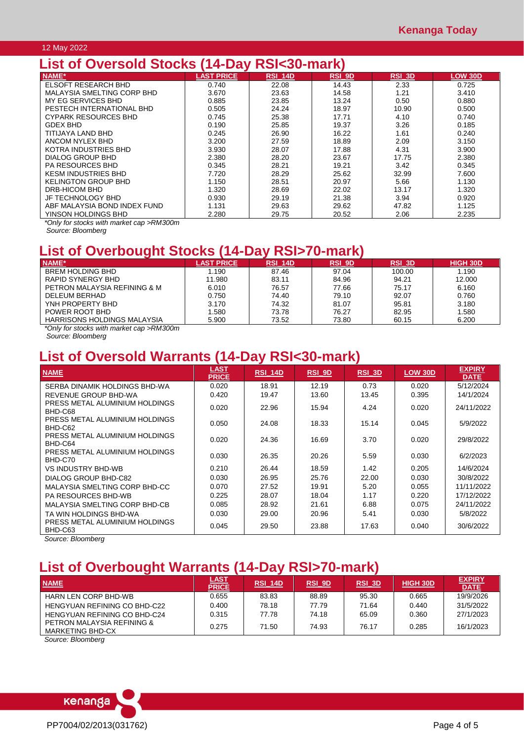## 12 May 2022

## **List of Oversold Stocks (14-Day RSI<30-mark)**

| <b>NAME*</b>                 | <b>LAST PRICE</b> | <b>RSI 14D</b> | <b>RSI 9D</b> | RSI 3D | LOW 30D |
|------------------------------|-------------------|----------------|---------------|--------|---------|
| ELSOFT RESEARCH BHD          | 0.740             | 22.08          | 14.43         | 2.33   | 0.725   |
| MALAYSIA SMELTING CORP BHD   | 3.670             | 23.63          | 14.58         | 1.21   | 3.410   |
| MY EG SERVICES BHD           | 0.885             | 23.85          | 13.24         | 0.50   | 0.880   |
| PESTECH INTERNATIONAL BHD    | 0.505             | 24.24          | 18.97         | 10.90  | 0.500   |
| <b>CYPARK RESOURCES BHD</b>  | 0.745             | 25.38          | 17.71         | 4.10   | 0.740   |
| GDEX BHD                     | 0.190             | 25.85          | 19.37         | 3.26   | 0.185   |
| TITIJAYA LAND BHD            | 0.245             | 26.90          | 16.22         | 1.61   | 0.240   |
| ANCOM NYLEX BHD              | 3.200             | 27.59          | 18.89         | 2.09   | 3.150   |
| KOTRA INDUSTRIES BHD         | 3.930             | 28.07          | 17.88         | 4.31   | 3.900   |
| DIALOG GROUP BHD             | 2.380             | 28.20          | 23.67         | 17.75  | 2.380   |
| <b>PA RESOURCES BHD</b>      | 0.345             | 28.21          | 19.21         | 3.42   | 0.345   |
| <b>KESM INDUSTRIES BHD</b>   | 7.720             | 28.29          | 25.62         | 32.99  | 7.600   |
| <b>KELINGTON GROUP BHD</b>   | 1.150             | 28.51          | 20.97         | 5.66   | 1.130   |
| DRB-HICOM BHD                | 1.320             | 28.69          | 22.02         | 13.17  | 1.320   |
| JF TECHNOLOGY BHD            | 0.930             | 29.19          | 21.38         | 3.94   | 0.920   |
| ABF MALAYSIA BOND INDEX FUND | 1.131             | 29.63          | 29.62         | 47.82  | 1.125   |
| YINSON HOLDINGS BHD          | 2.280             | 29.75          | 20.52         | 2.06   | 2.235   |

*\*Only for stocks with market cap >RM300m*

*Source: Bloomberg*

# **List of Overbought Stocks (14-Day RSI>70-mark)**

| NAME*                        | <b>LAST PRICE</b> | <b>RSI 14D</b> | <b>RSI 9D</b> | <b>RSI 3D</b> | <b>HIGH 30D</b> |
|------------------------------|-------------------|----------------|---------------|---------------|-----------------|
| <b>BREM HOLDING BHD</b>      | .190              | 87.46          | 97.04         | 100.00        | 1.190           |
| RAPID SYNERGY BHD            | 11.980            | 83.11          | 84.96         | 94.21         | 12.000          |
| PETRON MALAYSIA REFINING & M | 6.010             | 76.57          | 77.66         | 75.17         | 6.160           |
| DELEUM BERHAD                | 0.750             | 74.40          | 79.10         | 92.07         | 0.760           |
| YNH PROPERTY BHD             | 3.170             | 74.32          | 81.07         | 95.81         | 3.180           |
| POWER ROOT BHD               | .580              | 73.78          | 76.27         | 82.95         | .580            |
| HARRISONS HOLDINGS MALAYSIA  | 5.900             | 73.52          | 73.80         | 60.15         | 6.200           |

*\*Only for stocks with market cap >RM300m*

*Source: Bloomberg*

# **List of Oversold Warrants (14-Day RSI<30-mark)**

| <b>NAME</b>                               | <b>LAST</b><br><b>PRICE</b> | <b>RSI_14D</b> | $RSI$ 9D | $RSI$ 3D | <b>LOW 30D</b> | <b>EXPIRY</b><br><b>DATE</b> |
|-------------------------------------------|-----------------------------|----------------|----------|----------|----------------|------------------------------|
| SERBA DINAMIK HOLDINGS BHD-WA             | 0.020                       | 18.91          | 12.19    | 0.73     | 0.020          | 5/12/2024                    |
| REVENUE GROUP BHD-WA                      | 0.420                       | 19.47          | 13.60    | 13.45    | 0.395          | 14/1/2024                    |
| PRESS METAL ALUMINIUM HOLDINGS<br>BHD-C68 | 0.020                       | 22.96          | 15.94    | 4.24     | 0.020          | 24/11/2022                   |
| PRESS METAL ALUMINIUM HOLDINGS<br>BHD-C62 | 0.050                       | 24.08          | 18.33    | 15.14    | 0.045          | 5/9/2022                     |
| PRESS METAL ALUMINIUM HOLDINGS<br>BHD-C64 | 0.020                       | 24.36          | 16.69    | 3.70     | 0.020          | 29/8/2022                    |
| PRESS METAL ALUMINIUM HOLDINGS<br>BHD-C70 | 0.030                       | 26.35          | 20.26    | 5.59     | 0.030          | 6/2/2023                     |
| <b>VS INDUSTRY BHD-WB</b>                 | 0.210                       | 26.44          | 18.59    | 1.42     | 0.205          | 14/6/2024                    |
| DIALOG GROUP BHD-C82                      | 0.030                       | 26.95          | 25.76    | 22.00    | 0.030          | 30/8/2022                    |
| MALAYSIA SMELTING CORP BHD-CC             | 0.070                       | 27.52          | 19.91    | 5.20     | 0.055          | 11/11/2022                   |
| <b>PA RESOURCES BHD-WB</b>                | 0.225                       | 28.07          | 18.04    | 1.17     | 0.220          | 17/12/2022                   |
| MALAYSIA SMELTING CORP BHD-CB             | 0.085                       | 28.92          | 21.61    | 6.88     | 0.075          | 24/11/2022                   |
| TA WIN HOLDINGS BHD-WA                    | 0.030                       | 29.00          | 20.96    | 5.41     | 0.030          | 5/8/2022                     |
| PRESS METAL ALUMINIUM HOLDINGS<br>BHD-C63 | 0.045                       | 29.50          | 23.88    | 17.63    | 0.040          | 30/6/2022                    |

*Source: Bloomberg*

# **List of Overbought Warrants (14-Day RSI>70-mark)**

| <b>NAME</b>                                           | <u>LAST</u><br><b>PRICE</b> | <b>RSI 14D</b> | RSI_9D | RSI_3D | <b>HIGH 30D</b> | <b>EXPIRY</b><br><b>DATE</b> |
|-------------------------------------------------------|-----------------------------|----------------|--------|--------|-----------------|------------------------------|
| HARN LEN CORP BHD-WB                                  | 0.655                       | 83.83          | 88.89  | 95.30  | 0.665           | 19/9/2026                    |
| HENGYUAN REFINING CO BHD-C22                          | 0.400                       | 78.18          | 77.79  | 71.64  | 0.440           | 31/5/2022                    |
| <b>HENGYUAN REFINING CO BHD-C24</b>                   | 0.315                       | 77.78          | 74.18  | 65.09  | 0.360           | 27/1/2023                    |
| PETRON MALAYSIA REFINING &<br><b>MARKETING BHD-CX</b> | 0.275                       | 71.50          | 74.93  | 76.17  | 0.285           | 16/1/2023                    |

*Source: Bloomberg*